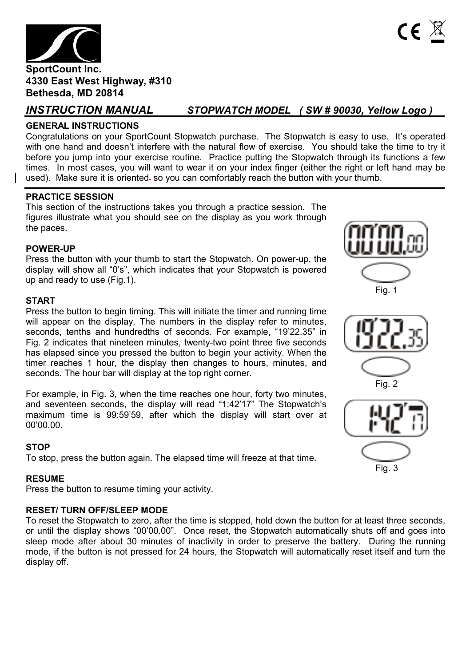

*INSTRUCTION MANUAL STOPWATCH MODEL ( SW # 90030, Yellow Logo )*

# **GENERAL INSTRUCTIONS**

Congratulations on your SportCount Stopwatch purchase. The Stopwatch is easy to use. It's operated with one hand and doesn't interfere with the natural flow of exercise. You should take the time to try it before you jump into your exercise routine. Practice putting the Stopwatch through its functions a few times. In most cases, you will want to wear it on your index finger (either the right or left hand may be used). Make sure it is oriented so you can comfortably reach the button with your thumb.

# **PRACTICE SESSION**

This section of the instructions takes you through a practice session. The figures illustrate what you should see on the display as you work through the paces.

# **POWER-UP**

Press the button with your thumb to start the Stopwatch. On power-up, the display will show all "0's", which indicates that your Stopwatch is powered up and ready to use (Fig.1).

# **START**

Press the button to begin timing. This will initiate the timer and running time will appear on the display. The numbers in the display refer to minutes, seconds, tenths and hundredths of seconds. For example, "19'22.35" in Fig. 2 indicates that nineteen minutes, twenty-two point three five seconds has elapsed since you pressed the button to begin your activity. When the timer reaches 1 hour, the display then changes to hours, minutes, and seconds. The hour bar will display at the top right corner.

For example, in Fig. 3, when the time reaches one hour, forty two minutes, and seventeen seconds, the display will read "1:42'17" The Stopwatch's maximum time is 99:59'59, after which the display will start over at 00'00.00.

# **STOP**

To stop, press the button again. The elapsed time will freeze at that time.

# **RESUME**

Press the button to resume timing your activity.

# **RESET/ TURN OFF/SLEEP MODE**

To reset the Stopwatch to zero, after the time is stopped, hold down the button for at least three seconds, or until the display shows "00'00.00". Once reset, the Stopwatch automatically shuts off and goes into sleep mode after about 30 minutes of inactivity in order to preserve the battery. During the running mode, if the button is not pressed for 24 hours, the Stopwatch will automatically reset itself and turn the display off.







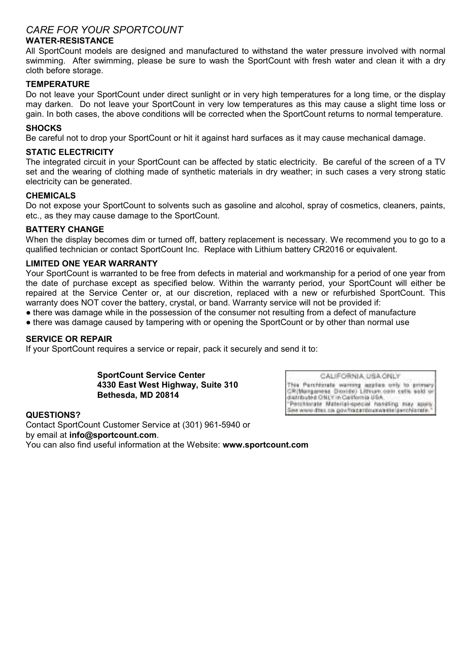# *CARE FOR YOUR SPORTCOUNT*

# **WATER-RESISTANCE**

All SportCount models are designed and manufactured to withstand the water pressure involved with normal swimming. After swimming, please be sure to wash the SportCount with fresh water and clean it with a dry cloth before storage.

# **TEMPERATURE**

Do not leave your SportCount under direct sunlight or in very high temperatures for a long time, or the display may darken. Do not leave your SportCount in very low temperatures as this may cause a slight time loss or gain. In both cases, the above conditions will be corrected when the SportCount returns to normal temperature.

# **SHOCKS**

Be careful not to drop your SportCount or hit it against hard surfaces as it may cause mechanical damage.

# **STATIC ELECTRICITY**

The integrated circuit in your SportCount can be affected by static electricity. Be careful of the screen of a TV set and the wearing of clothing made of synthetic materials in dry weather; in such cases a very strong static electricity can be generated.

## **CHEMICALS**

Do not expose your SportCount to solvents such as gasoline and alcohol, spray of cosmetics, cleaners, paints, etc., as they may cause damage to the SportCount.

#### **BATTERY CHANGE**

When the display becomes dim or turned off, battery replacement is necessary. We recommend you to go to a qualified technician or contact SportCount Inc. Replace with Lithium battery CR2016 or equivalent.

## **LIMITED ONE YEAR WARRANTY**

Your SportCount is warranted to be free from defects in material and workmanship for a period of one year from the date of purchase except as specified below. Within the warranty period, your SportCount will either be repaired at the Service Center or, at our discretion, replaced with a new or refurbished SportCount. This warranty does NOT cover the battery, crystal, or band. Warranty service will not be provided if:

- there was damage while in the possession of the consumer not resulting from a defect of manufacture
- there was damage caused by tampering with or opening the SportCount or by other than normal use

#### **SERVICE OR REPAIR**

If your SportCount requires a service or repair, pack it securely and send it to:

**SportCount Service Center 4330 East West Highway, Suite 310 Bethesda, MD 20814**

CALIFORNIA USA ONLY This Purchizrate warning leggies only to primary CR(Mangaresa Dioxide) Lithum coin cells said or Parchtocate Material-special handling may apply ea www.dtes.ca.gov/tracardouswastelperchiorate

**QUESTIONS?**  Contact SportCount Customer Service at (301) 961-5940 or by email at **info@sportcount.com**. You can also find useful information at the Website: **www.sportcount.com**